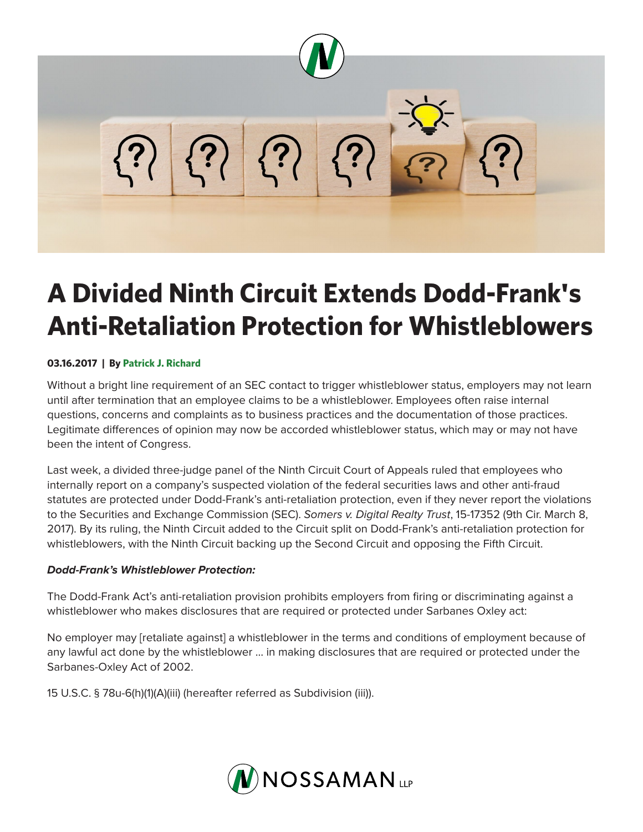

# **A Divided Ninth Circuit Extends Dodd-Frank's Anti-Retaliation Protection for Whistleblowers**

## **03.16.2017 | By Patrick J. Richard**

Without a bright line requirement of an SEC contact to trigger whistleblower status, employers may not learn until after termination that an employee claims to be a whistleblower. Employees often raise internal questions, concerns and complaints as to business practices and the documentation of those practices. Legitimate differences of opinion may now be accorded whistleblower status, which may or may not have been the intent of Congress.

Last week, a divided three-judge panel of the Ninth Circuit Court of Appeals ruled that employees who internally report on a company's suspected violation of the federal securities laws and other anti-fraud statutes are protected under Dodd-Frank's anti-retaliation protection, even if they never report the violations to the Securities and Exchange Commission (SEC). *Somers v. Digital Realty Trust*, 15-17352 (9th Cir. March 8, 2017). By its ruling, the Ninth Circuit added to the Circuit split on Dodd-Frank's anti-retaliation protection for whistleblowers, with the Ninth Circuit backing up the Second Circuit and opposing the Fifth Circuit.

#### *Dodd-Frank's Whistleblower Protection:*

The Dodd-Frank Act's anti-retaliation provision prohibits employers from firing or discriminating against a whistleblower who makes disclosures that are required or protected under Sarbanes Oxley act:

No employer may [retaliate against] a whistleblower in the terms and conditions of employment because of any lawful act done by the whistleblower … in making disclosures that are required or protected under the Sarbanes-Oxley Act of 2002.

15 U.S.C. § 78u-6(h)(1)(A)(iii) (hereafter referred as Subdivision (iii)).